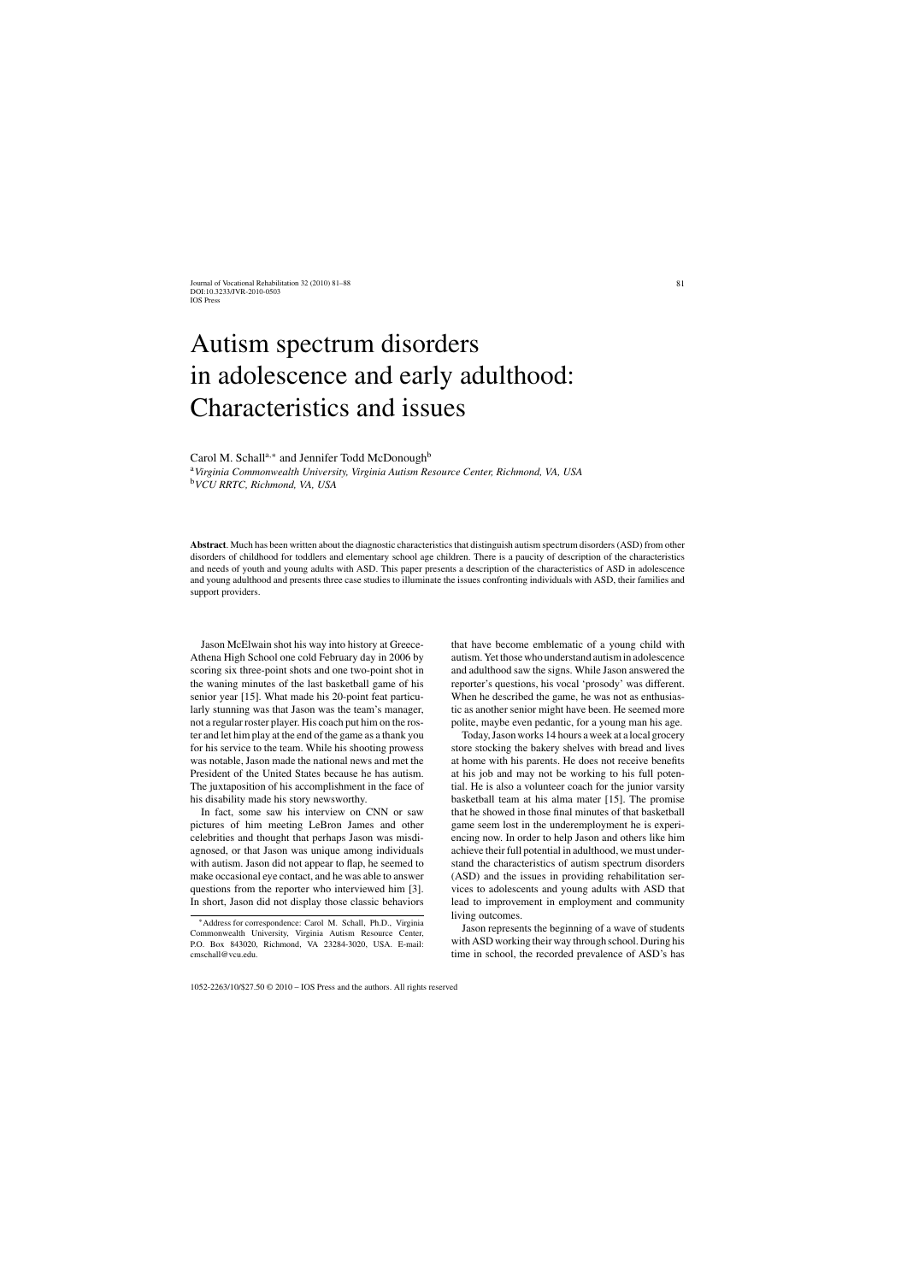# Autism spectrum disorders in adolescence and early adulthood: Characteristics and issues

Carol M. Schall<sup>a,∗</sup> and Jennifer Todd McDonough<sup>b</sup>

<sup>a</sup>*Virginia Commonwealth University, Virginia Autism Resource Center, Richmond, VA, USA* <sup>b</sup>*VCU RRTC, Richmond, VA, USA*

**Abstract**. Much has been written about the diagnostic characteristics that distinguish autism spectrum disorders (ASD) from other disorders of childhood for toddlers and elementary school age children. There is a paucity of description of the characteristics and needs of youth and young adults with ASD. This paper presents a description of the characteristics of ASD in adolescence and young adulthood and presents three case studies to illuminate the issues confronting individuals with ASD, their families and support providers.

Jason McElwain shot his way into history at Greece-Athena High School one cold February day in 2006 by scoring six three-point shots and one two-point shot in the waning minutes of the last basketball game of his senior year [15]. What made his 20-point feat particularly stunning was that Jason was the team's manager, not a regular roster player. His coach put him on the roster and let him play at the end of the game as a thank you for his service to the team. While his shooting prowess was notable, Jason made the national news and met the President of the United States because he has autism. The juxtaposition of his accomplishment in the face of his disability made his story newsworthy.

In fact, some saw his interview on CNN or saw pictures of him meeting LeBron James and other celebrities and thought that perhaps Jason was misdiagnosed, or that Jason was unique among individuals with autism. Jason did not appear to flap, he seemed to make occasional eye contact, and he was able to answer questions from the reporter who interviewed him [3]. In short, Jason did not display those classic behaviors that have become emblematic of a young child with autism. Yet those who understand autism in adolescence and adulthood saw the signs. While Jason answered the reporter's questions, his vocal 'prosody' was different. When he described the game, he was not as enthusiastic as another senior might have been. He seemed more polite, maybe even pedantic, for a young man his age.

Today, Jason works 14 hours a week at a local grocery store stocking the bakery shelves with bread and lives at home with his parents. He does not receive benefits at his job and may not be working to his full potential. He is also a volunteer coach for the junior varsity basketball team at his alma mater [15]. The promise that he showed in those final minutes of that basketball game seem lost in the underemployment he is experiencing now. In order to help Jason and others like him achieve their full potential in adulthood, we must understand the characteristics of autism spectrum disorders (ASD) and the issues in providing rehabilitation services to adolescents and young adults with ASD that lead to improvement in employment and community living outcomes.

Jason represents the beginning of a wave of students with ASD working their way through school. During his time in school, the recorded prevalence of ASD's has

<sup>∗</sup>Address for correspondence: Carol M. Schall, Ph.D., Virginia Commonwealth University, Virginia Autism Resource Center, P.O. Box 843020, Richmond, VA 23284-3020, USA. E-mail: cmschall@vcu.edu.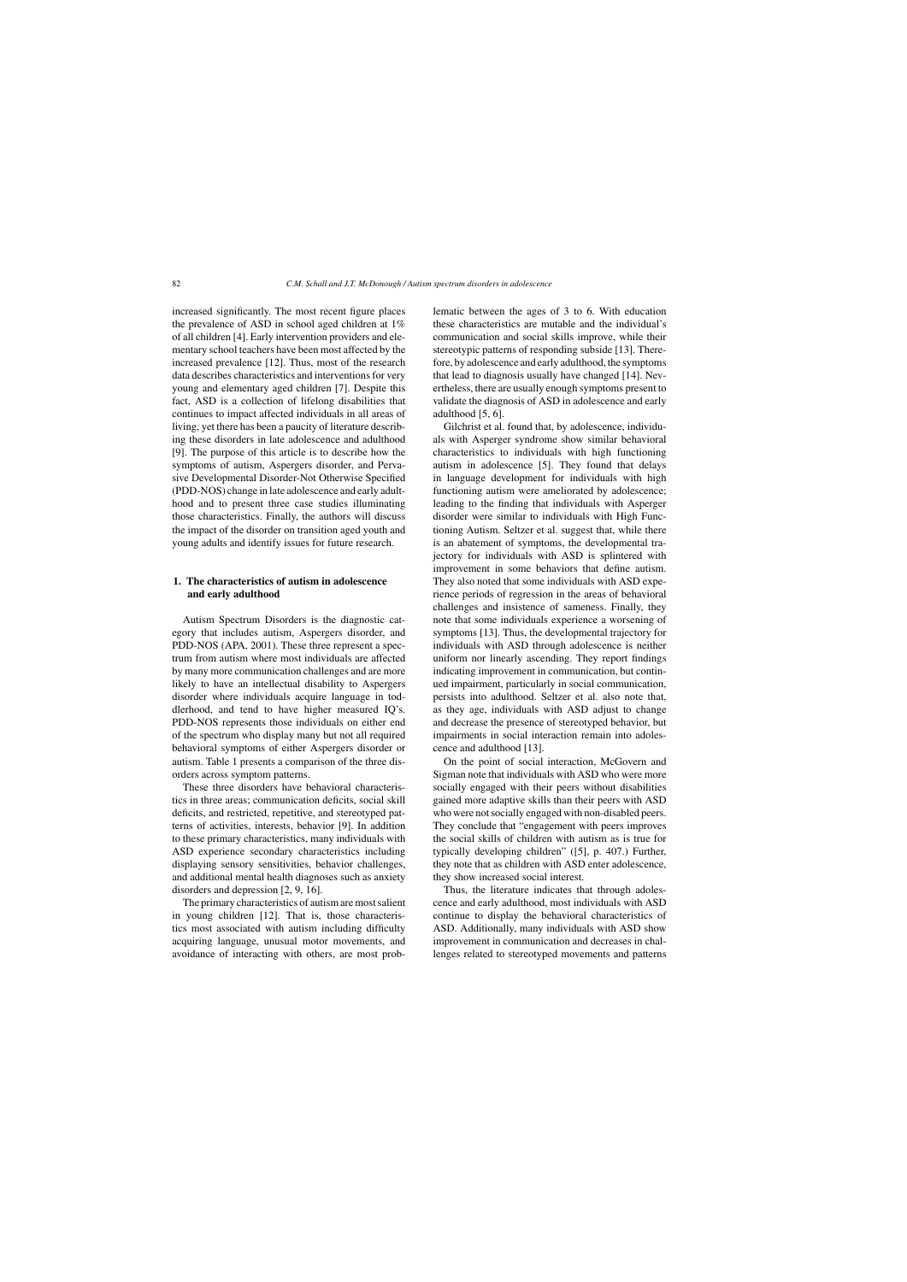increased significantly. The most recent figure places the prevalence of ASD in school aged children at 1% of all children [4]. Early intervention providers and elementary school teachers have been most affected by the increased prevalence [12]. Thus, most of the research data describes characteristics and interventions for very young and elementary aged children [7]. Despite this fact, ASD is a collection of lifelong disabilities that continues to impact affected individuals in all areas of living, yet there has been a paucity of literature describing these disorders in late adolescence and adulthood [9]. The purpose of this article is to describe how the symptoms of autism, Aspergers disorder, and Pervasive Developmental Disorder-Not Otherwise Specified (PDD-NOS) change in late adolescence and early adulthood and to present three case studies illuminating those characteristics. Finally, the authors will discuss the impact of the disorder on transition aged youth and young adults and identify issues for future research.

# **1. The characteristics of autism in adolescence and early adulthood**

Autism Spectrum Disorders is the diagnostic category that includes autism, Aspergers disorder, and PDD-NOS (APA, 2001). These three represent a spectrum from autism where most individuals are affected by many more communication challenges and are more likely to have an intellectual disability to Aspergers disorder where individuals acquire language in toddlerhood, and tend to have higher measured IQ's. PDD-NOS represents those individuals on either end of the spectrum who display many but not all required behavioral symptoms of either Aspergers disorder or autism. Table 1 presents a comparison of the three disorders across symptom patterns.

These three disorders have behavioral characteristics in three areas; communication deficits, social skill deficits, and restricted, repetitive, and stereotyped patterns of activities, interests, behavior [9]. In addition to these primary characteristics, many individuals with ASD experience secondary characteristics including displaying sensory sensitivities, behavior challenges, and additional mental health diagnoses such as anxiety disorders and depression [2, 9, 16].

The primary characteristics of autism are most salient in young children [12]. That is, those characteristics most associated with autism including difficulty acquiring language, unusual motor movements, and avoidance of interacting with others, are most problematic between the ages of 3 to 6. With education these characteristics are mutable and the individual's communication and social skills improve, while their stereotypic patterns of responding subside [13]. Therefore, by adolescence and early adulthood, the symptoms that lead to diagnosis usually have changed [14]. Nevertheless, there are usually enough symptoms present to validate the diagnosis of ASD in adolescence and early adulthood [5, 6].

Gilchrist et al. found that, by adolescence, individuals with Asperger syndrome show similar behavioral characteristics to individuals with high functioning autism in adolescence [5]. They found that delays in language development for individuals with high functioning autism were ameliorated by adolescence; leading to the finding that individuals with Asperger disorder were similar to individuals with High Functioning Autism. Seltzer et al. suggest that, while there is an abatement of symptoms, the developmental trajectory for individuals with ASD is splintered with improvement in some behaviors that define autism. They also noted that some individuals with ASD experience periods of regression in the areas of behavioral challenges and insistence of sameness. Finally, they note that some individuals experience a worsening of symptoms [13]. Thus, the developmental trajectory for individuals with ASD through adolescence is neither uniform nor linearly ascending. They report findings indicating improvement in communication, but continued impairment, particularly in social communication, persists into adulthood. Seltzer et al. also note that, as they age, individuals with ASD adjust to change and decrease the presence of stereotyped behavior, but impairments in social interaction remain into adolescence and adulthood [13].

On the point of social interaction, McGovern and Sigman note that individuals with ASD who were more socially engaged with their peers without disabilities gained more adaptive skills than their peers with ASD who were not socially engaged with non-disabled peers. They conclude that "engagement with peers improves the social skills of children with autism as is true for typically developing children" ([5], p. 407.) Further, they note that as children with ASD enter adolescence, they show increased social interest.

Thus, the literature indicates that through adolescence and early adulthood, most individuals with ASD continue to display the behavioral characteristics of ASD. Additionally, many individuals with ASD show improvement in communication and decreases in challenges related to stereotyped movements and patterns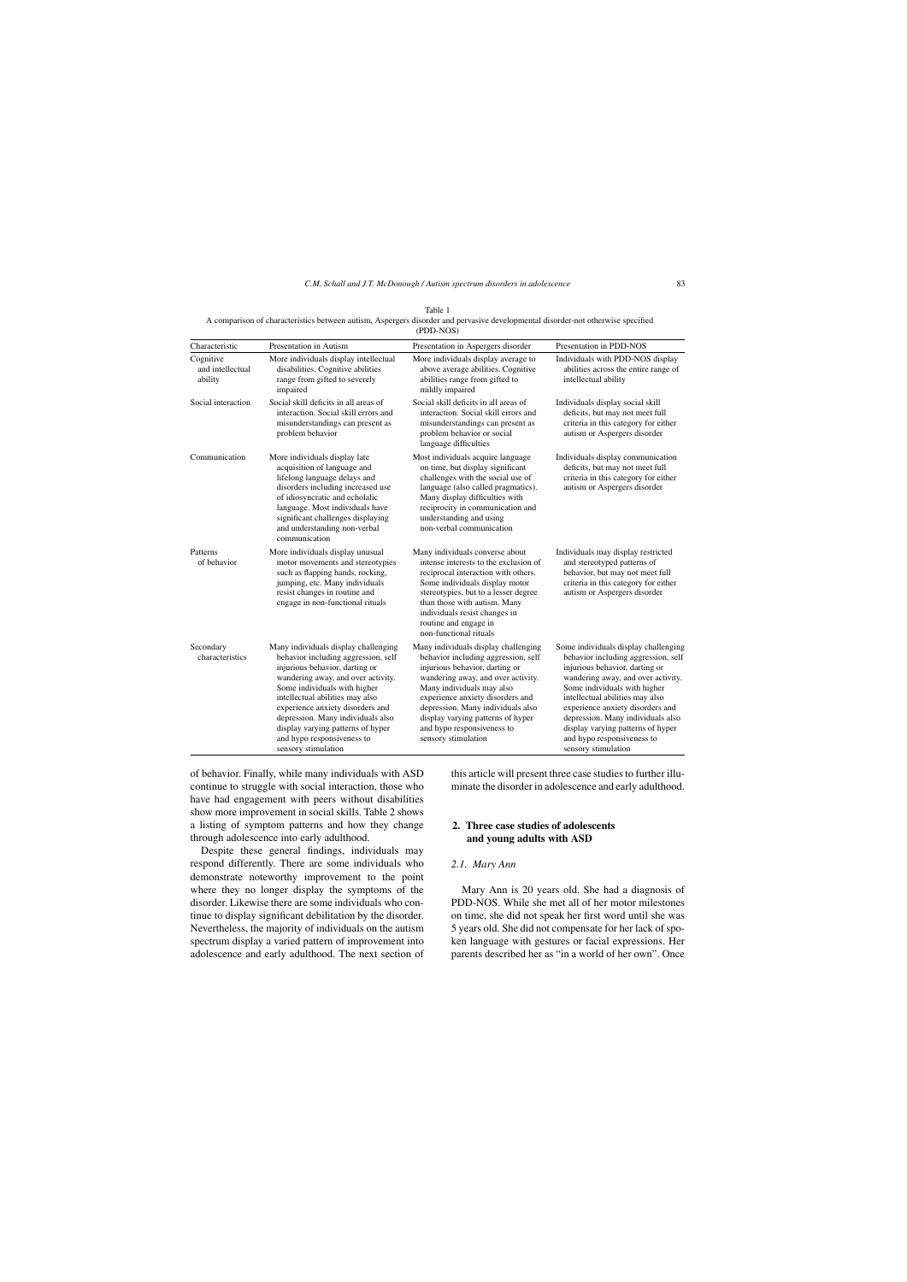Table 1 A comparison of characteristics between autism, Aspergers disorder and pervasive developmental disorder-not otherwise specified  $(DDD-NG)$ 

|                                          |                                                                                                                                                                                                                                                                                                                                                                                           | (1 D1.100)                                                                                                                                                                                                                                                                                                                                          |                                                                                                                                                                                                                                                                                                                                                                                           |
|------------------------------------------|-------------------------------------------------------------------------------------------------------------------------------------------------------------------------------------------------------------------------------------------------------------------------------------------------------------------------------------------------------------------------------------------|-----------------------------------------------------------------------------------------------------------------------------------------------------------------------------------------------------------------------------------------------------------------------------------------------------------------------------------------------------|-------------------------------------------------------------------------------------------------------------------------------------------------------------------------------------------------------------------------------------------------------------------------------------------------------------------------------------------------------------------------------------------|
| Characteristic                           | Presentation in Autism                                                                                                                                                                                                                                                                                                                                                                    | Presentation in Aspergers disorder                                                                                                                                                                                                                                                                                                                  | Presentation in PDD-NOS                                                                                                                                                                                                                                                                                                                                                                   |
| Cognitive<br>and intellectual<br>ability | More individuals display intellectual<br>disabilities. Cognitive abilities<br>range from gifted to severely<br>impaired                                                                                                                                                                                                                                                                   | More individuals display average to<br>above average abilities. Cognitive<br>abilities range from gifted to<br>mildly impaired                                                                                                                                                                                                                      | Individuals with PDD-NOS display<br>abilities across the entire range of<br>intellectual ability                                                                                                                                                                                                                                                                                          |
| Social interaction                       | Social skill deficits in all areas of<br>interaction. Social skill errors and<br>misunderstandings can present as<br>problem behavior                                                                                                                                                                                                                                                     | Social skill deficits in all areas of<br>interaction. Social skill errors and<br>misunderstandings can present as<br>problem behavior or social<br>language difficulties                                                                                                                                                                            | Individuals display social skill<br>deficits, but may not meet full<br>criteria in this category for either<br>autism or Aspergers disorder                                                                                                                                                                                                                                               |
| Communication                            | More individuals display late<br>acquisition of language and<br>lifelong language delays and<br>disorders including increased use<br>of idiosyncratic and echolalic<br>language. Most individuals have<br>significant challenges displaying<br>and understanding non-verbal<br>communication                                                                                              | Most individuals acquire language<br>on time, but display significant<br>challenges with the social use of<br>language (also called pragmatics).<br>Many display difficulties with<br>reciprocity in communication and<br>understanding and using<br>non-verbal communication                                                                       | Individuals display communication<br>deficits, but may not meet full<br>criteria in this category for either<br>autism or Aspergers disorder                                                                                                                                                                                                                                              |
| Patterns<br>of behavior                  | More individuals display unusual<br>motor movements and stereotypies<br>such as flapping hands, rocking,<br>jumping, etc. Many individuals<br>resist changes in routine and<br>engage in non-functional rituals                                                                                                                                                                           | Many individuals converse about<br>intense interests to the exclusion of<br>reciprocal interaction with others.<br>Some individuals display motor<br>stereotypies, but to a lesser degree<br>than those with autism. Many<br>individuals resist changes in<br>routine and engage in<br>non-functional rituals                                       | Individuals may display restricted<br>and stereotyped patterns of<br>behavior, but may not meet full<br>criteria in this category for either<br>autism or Aspergers disorder                                                                                                                                                                                                              |
| Secondary<br>characteristics             | Many individuals display challenging<br>behavior including aggression, self<br>injurious behavior, darting or<br>wandering away, and over activity.<br>Some individuals with higher<br>intellectual abilities may also<br>experience anxiety disorders and<br>depression. Many individuals also<br>display varying patterns of hyper<br>and hypo responsiveness to<br>sensory stimulation | Many individuals display challenging<br>behavior including aggression, self<br>injurious behavior, darting or<br>wandering away, and over activity.<br>Many individuals may also<br>experience anxiety disorders and<br>depression. Many individuals also<br>display varying patterns of hyper<br>and hypo responsiveness to<br>sensory stimulation | Some individuals display challenging<br>behavior including aggression, self<br>injurious behavior, darting or<br>wandering away, and over activity.<br>Some individuals with higher<br>intellectual abilities may also<br>experience anxiety disorders and<br>depression. Many individuals also<br>display varying patterns of hyper<br>and hypo responsiveness to<br>sensory stimulation |

of behavior. Finally, while many individuals with ASD continue to struggle with social interaction, those who have had engagement with peers without disabilities show more improvement in social skills. Table 2 shows a listing of symptom patterns and how they change through adolescence into early adulthood.

Despite these general findings, individuals may respond differently. There are some individuals who demonstrate noteworthy improvement to the point where they no longer display the symptoms of the disorder. Likewise there are some individuals who continue to display significant debilitation by the disorder. Nevertheless, the majority of individuals on the autism spectrum display a varied pattern of improvement into adolescence and early adulthood. The next section of this article will present three case studies to further illuminate the disorder in adolescence and early adulthood.

# **2. Three case studies of adolescents and young adults with ASD**

# *2.1. Mary Ann*

Mary Ann is 20 years old. She had a diagnosis of PDD-NOS. While she met all of her motor milestones on time, she did not speak her first word until she was 5 years old. She did not compensate for her lack of spoken language with gestures or facial expressions. Her parents described her as "in a world of her own". Once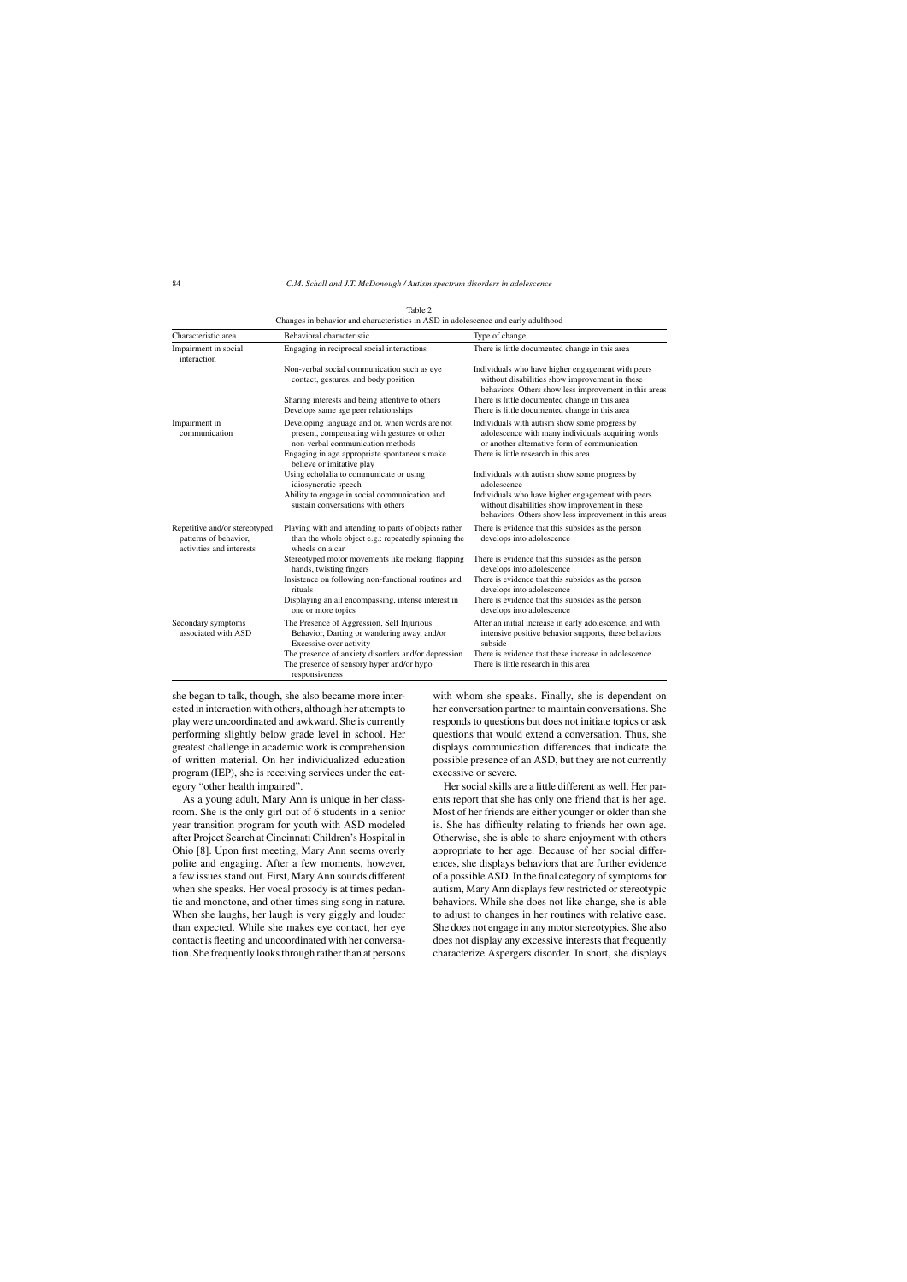| Characteristic area                                                                | Behavioral characteristic                                                                                                                                                                                       | Type of change                                                                                                                                                                                                               |
|------------------------------------------------------------------------------------|-----------------------------------------------------------------------------------------------------------------------------------------------------------------------------------------------------------------|------------------------------------------------------------------------------------------------------------------------------------------------------------------------------------------------------------------------------|
| Impairment in social<br>interaction                                                | Engaging in reciprocal social interactions                                                                                                                                                                      | There is little documented change in this area                                                                                                                                                                               |
|                                                                                    | Non-verbal social communication such as eye<br>contact, gestures, and body position                                                                                                                             | Individuals who have higher engagement with peers<br>without disabilities show improvement in these<br>behaviors. Others show less improvement in this areas                                                                 |
|                                                                                    | Sharing interests and being attentive to others<br>Develops same age peer relationships                                                                                                                         | There is little documented change in this area<br>There is little documented change in this area                                                                                                                             |
| Impairment in<br>communication                                                     | Developing language and or, when words are not<br>present, compensating with gestures or other<br>non-verbal communication methods<br>Engaging in age appropriate spontaneous make<br>believe or imitative play | Individuals with autism show some progress by<br>adolescence with many individuals acquiring words<br>or another alternative form of communication<br>There is little research in this area                                  |
|                                                                                    | Using echolalia to communicate or using<br>idiosyncratic speech<br>Ability to engage in social communication and<br>sustain conversations with others                                                           | Individuals with autism show some progress by<br>adolescence<br>Individuals who have higher engagement with peers<br>without disabilities show improvement in these<br>behaviors. Others show less improvement in this areas |
| Repetitive and/or stereotyped<br>patterns of behavior,<br>activities and interests | Playing with and attending to parts of objects rather<br>than the whole object e.g.: repeatedly spinning the<br>wheels on a car                                                                                 | There is evidence that this subsides as the person<br>develops into adolescence                                                                                                                                              |
|                                                                                    | Stereotyped motor movements like rocking, flapping<br>hands, twisting fingers                                                                                                                                   | There is evidence that this subsides as the person<br>develops into adolescence                                                                                                                                              |
|                                                                                    | Insistence on following non-functional routines and<br>rituals                                                                                                                                                  | There is evidence that this subsides as the person<br>develops into adolescence                                                                                                                                              |
|                                                                                    | Displaying an all encompassing, intense interest in<br>one or more topics                                                                                                                                       | There is evidence that this subsides as the person<br>develops into adolescence                                                                                                                                              |
| Secondary symptoms<br>associated with ASD                                          | The Presence of Aggression, Self Injurious<br>Behavior, Darting or wandering away, and/or<br>Excessive over activity                                                                                            | After an initial increase in early adolescence, and with<br>intensive positive behavior supports, these behaviors<br>subside                                                                                                 |
|                                                                                    | The presence of anxiety disorders and/or depression<br>The presence of sensory hyper and/or hypo<br>responsiveness                                                                                              | There is evidence that these increase in adolescence<br>There is little research in this area                                                                                                                                |

Table 2 Changes in behavior and characteristics in ASD in adolescence and early adulthood

she began to talk, though, she also became more interested in interaction with others, although her attempts to play were uncoordinated and awkward. She is currently performing slightly below grade level in school. Her greatest challenge in academic work is comprehension of written material. On her individualized education program (IEP), she is receiving services under the category "other health impaired".

As a young adult, Mary Ann is unique in her classroom. She is the only girl out of 6 students in a senior year transition program for youth with ASD modeled after Project Search at Cincinnati Children's Hospital in Ohio [8]. Upon first meeting, Mary Ann seems overly polite and engaging. After a few moments, however, a few issues stand out. First, Mary Ann sounds different when she speaks. Her vocal prosody is at times pedantic and monotone, and other times sing song in nature. When she laughs, her laugh is very giggly and louder than expected. While she makes eye contact, her eye contact is fleeting and uncoordinated with her conversation. She frequently looks through rather than at persons with whom she speaks. Finally, she is dependent on her conversation partner to maintain conversations. She responds to questions but does not initiate topics or ask questions that would extend a conversation. Thus, she displays communication differences that indicate the possible presence of an ASD, but they are not currently excessive or severe.

Her social skills are a little different as well. Her parents report that she has only one friend that is her age. Most of her friends are either younger or older than she is. She has difficulty relating to friends her own age. Otherwise, she is able to share enjoyment with others appropriate to her age. Because of her social differences, she displays behaviors that are further evidence of a possible ASD. In the final category of symptoms for autism, Mary Ann displays few restricted or stereotypic behaviors. While she does not like change, she is able to adjust to changes in her routines with relative ease. She does not engage in any motor stereotypies. She also does not display any excessive interests that frequently characterize Aspergers disorder. In short, she displays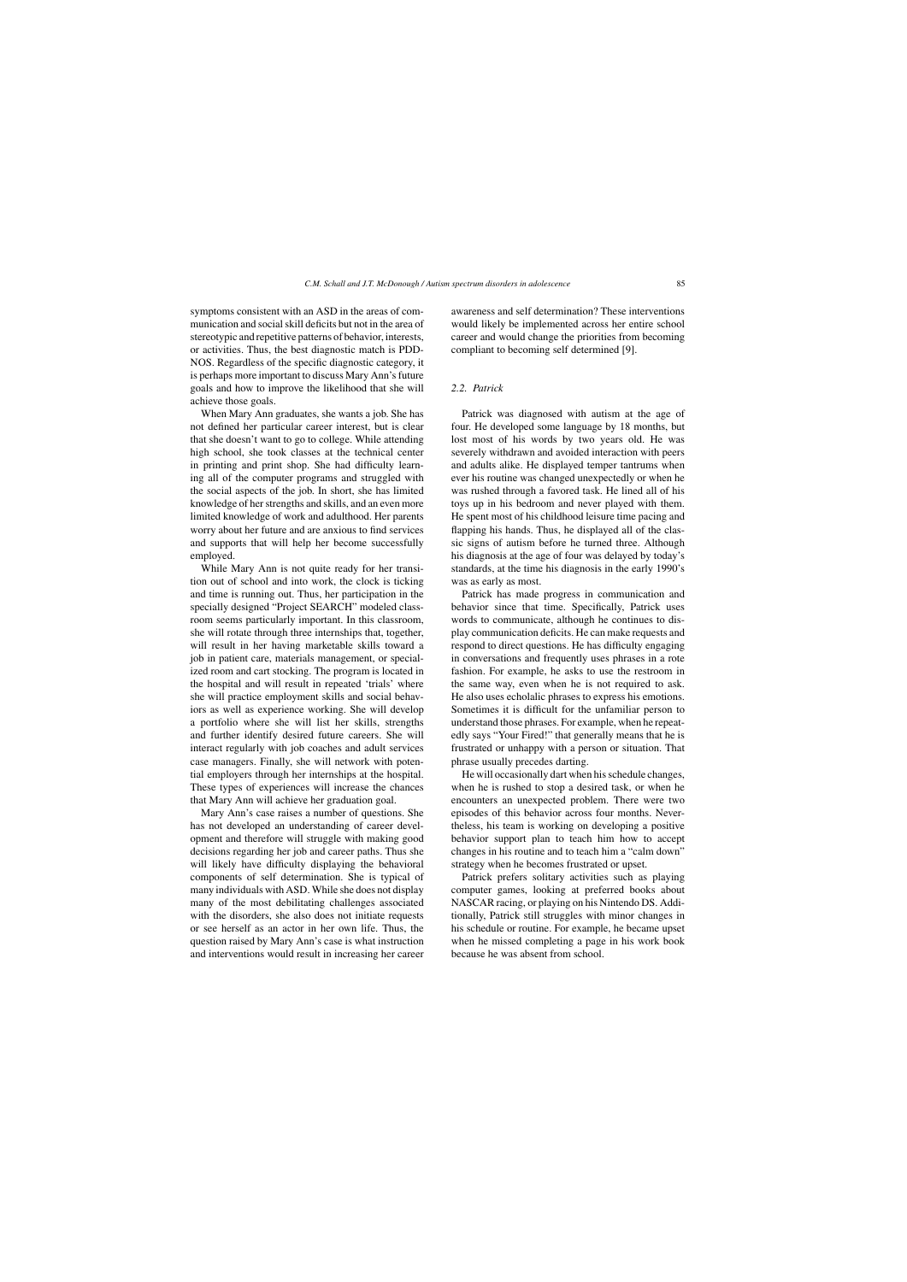symptoms consistent with an ASD in the areas of communication and social skill deficits but not in the area of stereotypic and repetitive patterns of behavior, interests, or activities. Thus, the best diagnostic match is PDD-NOS. Regardless of the specific diagnostic category, it is perhaps more important to discuss Mary Ann's future goals and how to improve the likelihood that she will achieve those goals.

When Mary Ann graduates, she wants a job. She has not defined her particular career interest, but is clear that she doesn't want to go to college. While attending high school, she took classes at the technical center in printing and print shop. She had difficulty learning all of the computer programs and struggled with the social aspects of the job. In short, she has limited knowledge of her strengths and skills, and an even more limited knowledge of work and adulthood. Her parents worry about her future and are anxious to find services and supports that will help her become successfully employed.

While Mary Ann is not quite ready for her transition out of school and into work, the clock is ticking and time is running out. Thus, her participation in the specially designed "Project SEARCH" modeled classroom seems particularly important. In this classroom, she will rotate through three internships that, together, will result in her having marketable skills toward a job in patient care, materials management, or specialized room and cart stocking. The program is located in the hospital and will result in repeated 'trials' where she will practice employment skills and social behaviors as well as experience working. She will develop a portfolio where she will list her skills, strengths and further identify desired future careers. She will interact regularly with job coaches and adult services case managers. Finally, she will network with potential employers through her internships at the hospital. These types of experiences will increase the chances that Mary Ann will achieve her graduation goal.

Mary Ann's case raises a number of questions. She has not developed an understanding of career development and therefore will struggle with making good decisions regarding her job and career paths. Thus she will likely have difficulty displaying the behavioral components of self determination. She is typical of many individuals with ASD. While she does not display many of the most debilitating challenges associated with the disorders, she also does not initiate requests or see herself as an actor in her own life. Thus, the question raised by Mary Ann's case is what instruction and interventions would result in increasing her career awareness and self determination? These interventions would likely be implemented across her entire school career and would change the priorities from becoming compliant to becoming self determined [9].

#### *2.2. Patrick*

Patrick was diagnosed with autism at the age of four. He developed some language by 18 months, but lost most of his words by two years old. He was severely withdrawn and avoided interaction with peers and adults alike. He displayed temper tantrums when ever his routine was changed unexpectedly or when he was rushed through a favored task. He lined all of his toys up in his bedroom and never played with them. He spent most of his childhood leisure time pacing and flapping his hands. Thus, he displayed all of the classic signs of autism before he turned three. Although his diagnosis at the age of four was delayed by today's standards, at the time his diagnosis in the early 1990's was as early as most.

Patrick has made progress in communication and behavior since that time. Specifically, Patrick uses words to communicate, although he continues to display communication deficits. He can make requests and respond to direct questions. He has difficulty engaging in conversations and frequently uses phrases in a rote fashion. For example, he asks to use the restroom in the same way, even when he is not required to ask. He also uses echolalic phrases to express his emotions. Sometimes it is difficult for the unfamiliar person to understand those phrases. For example, when he repeatedly says "Your Fired!" that generally means that he is frustrated or unhappy with a person or situation. That phrase usually precedes darting.

He will occasionally dart when his schedule changes, when he is rushed to stop a desired task, or when he encounters an unexpected problem. There were two episodes of this behavior across four months. Nevertheless, his team is working on developing a positive behavior support plan to teach him how to accept changes in his routine and to teach him a "calm down" strategy when he becomes frustrated or upset.

Patrick prefers solitary activities such as playing computer games, looking at preferred books about NASCAR racing, or playing on his Nintendo DS. Additionally, Patrick still struggles with minor changes in his schedule or routine. For example, he became upset when he missed completing a page in his work book because he was absent from school.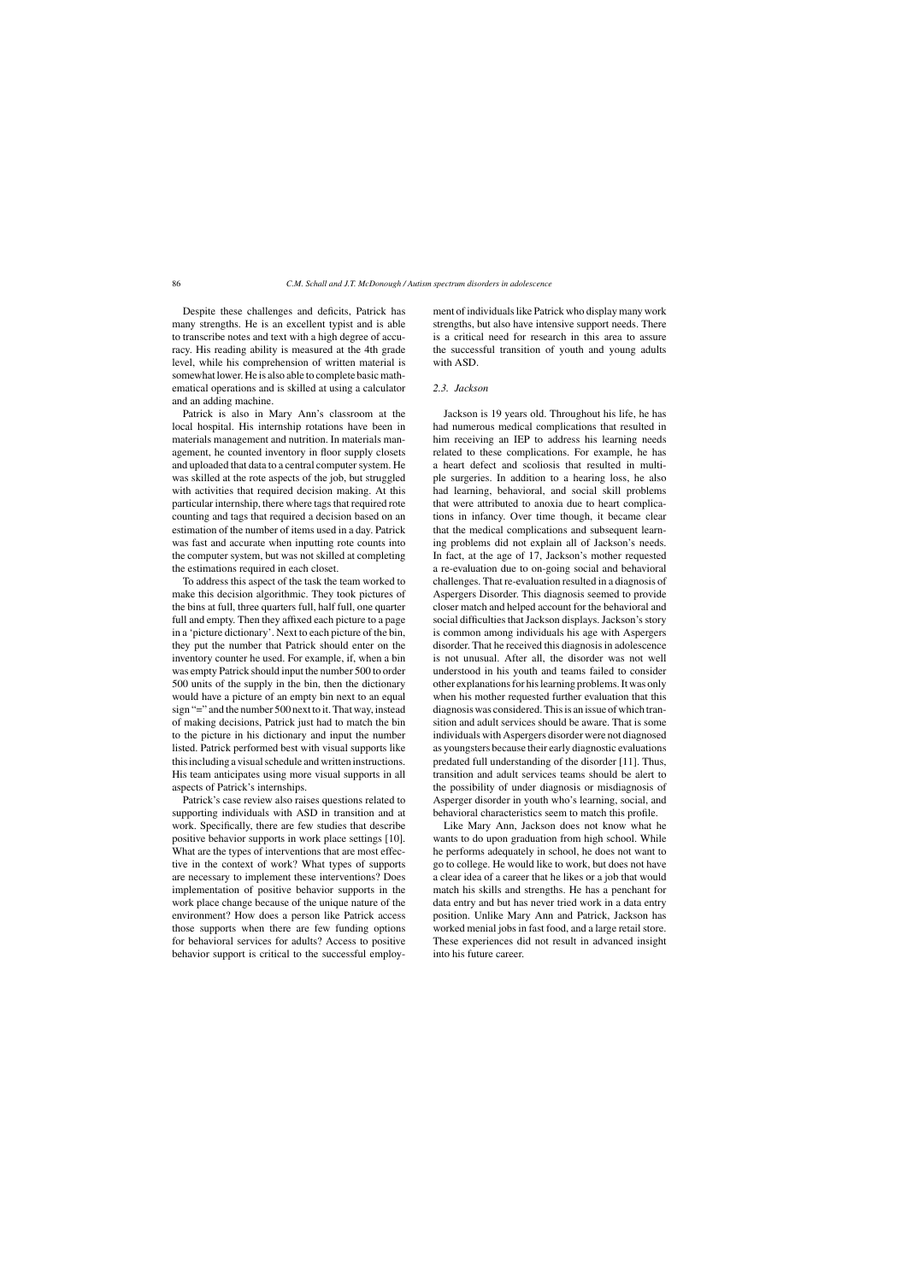Despite these challenges and deficits, Patrick has many strengths. He is an excellent typist and is able to transcribe notes and text with a high degree of accuracy. His reading ability is measured at the 4th grade level, while his comprehension of written material is somewhat lower. He is also able to complete basic mathematical operations and is skilled at using a calculator and an adding machine.

Patrick is also in Mary Ann's classroom at the local hospital. His internship rotations have been in materials management and nutrition. In materials management, he counted inventory in floor supply closets and uploaded that data to a central computer system. He was skilled at the rote aspects of the job, but struggled with activities that required decision making. At this particular internship, there where tags that required rote counting and tags that required a decision based on an estimation of the number of items used in a day. Patrick was fast and accurate when inputting rote counts into the computer system, but was not skilled at completing the estimations required in each closet.

To address this aspect of the task the team worked to make this decision algorithmic. They took pictures of the bins at full, three quarters full, half full, one quarter full and empty. Then they affixed each picture to a page in a 'picture dictionary'. Next to each picture of the bin, they put the number that Patrick should enter on the inventory counter he used. For example, if, when a bin was empty Patrick should input the number 500 to order 500 units of the supply in the bin, then the dictionary would have a picture of an empty bin next to an equal sign "=" and the number 500 next to it. That way, instead of making decisions, Patrick just had to match the bin to the picture in his dictionary and input the number listed. Patrick performed best with visual supports like this including a visual schedule and written instructions. His team anticipates using more visual supports in all aspects of Patrick's internships.

Patrick's case review also raises questions related to supporting individuals with ASD in transition and at work. Specifically, there are few studies that describe positive behavior supports in work place settings [10]. What are the types of interventions that are most effective in the context of work? What types of supports are necessary to implement these interventions? Does implementation of positive behavior supports in the work place change because of the unique nature of the environment? How does a person like Patrick access those supports when there are few funding options for behavioral services for adults? Access to positive behavior support is critical to the successful employment of individuals like Patrick who display many work strengths, but also have intensive support needs. There is a critical need for research in this area to assure the successful transition of youth and young adults with ASD.

#### *2.3. Jackson*

Jackson is 19 years old. Throughout his life, he has had numerous medical complications that resulted in him receiving an IEP to address his learning needs related to these complications. For example, he has a heart defect and scoliosis that resulted in multiple surgeries. In addition to a hearing loss, he also had learning, behavioral, and social skill problems that were attributed to anoxia due to heart complications in infancy. Over time though, it became clear that the medical complications and subsequent learning problems did not explain all of Jackson's needs. In fact, at the age of 17, Jackson's mother requested a re-evaluation due to on-going social and behavioral challenges. That re-evaluation resulted in a diagnosis of Aspergers Disorder. This diagnosis seemed to provide closer match and helped account for the behavioral and social difficulties that Jackson displays. Jackson's story is common among individuals his age with Aspergers disorder. That he received this diagnosis in adolescence is not unusual. After all, the disorder was not well understood in his youth and teams failed to consider other explanations for his learning problems. It was only when his mother requested further evaluation that this diagnosis was considered. This is an issue of which transition and adult services should be aware. That is some individuals with Aspergers disorder were not diagnosed as youngsters because their early diagnostic evaluations predated full understanding of the disorder [11]. Thus, transition and adult services teams should be alert to the possibility of under diagnosis or misdiagnosis of Asperger disorder in youth who's learning, social, and behavioral characteristics seem to match this profile.

Like Mary Ann, Jackson does not know what he wants to do upon graduation from high school. While he performs adequately in school, he does not want to go to college. He would like to work, but does not have a clear idea of a career that he likes or a job that would match his skills and strengths. He has a penchant for data entry and but has never tried work in a data entry position. Unlike Mary Ann and Patrick, Jackson has worked menial jobs in fast food, and a large retail store. These experiences did not result in advanced insight into his future career.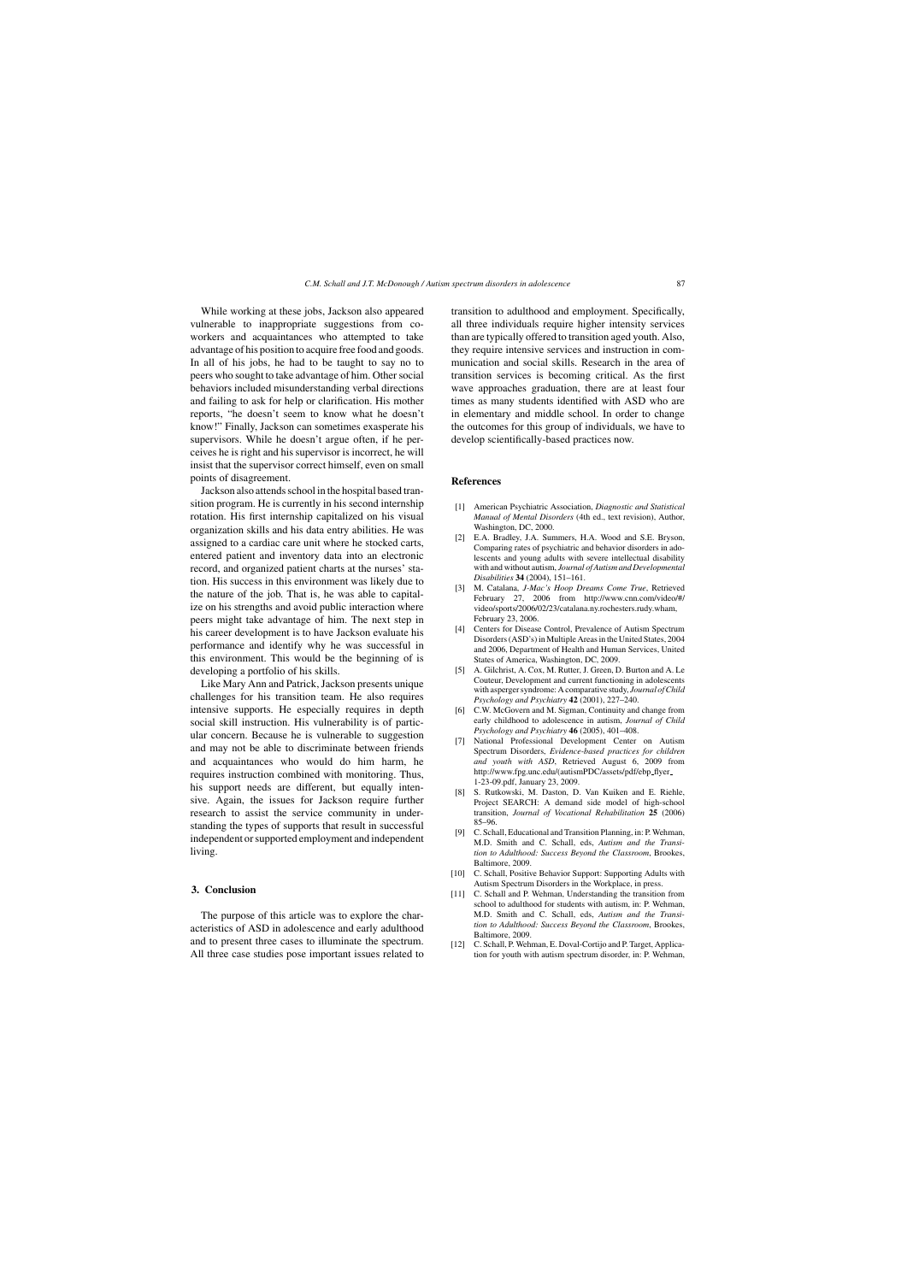While working at these jobs, Jackson also appeared vulnerable to inappropriate suggestions from coworkers and acquaintances who attempted to take advantage of his position to acquire free food and goods. In all of his jobs, he had to be taught to say no to peers who sought to take advantage of him. Other social behaviors included misunderstanding verbal directions and failing to ask for help or clarification. His mother reports, "he doesn't seem to know what he doesn't know!" Finally, Jackson can sometimes exasperate his supervisors. While he doesn't argue often, if he perceives he is right and his supervisor is incorrect, he will insist that the supervisor correct himself, even on small points of disagreement.

Jackson also attends school in the hospital based transition program. He is currently in his second internship rotation. His first internship capitalized on his visual organization skills and his data entry abilities. He was assigned to a cardiac care unit where he stocked carts, entered patient and inventory data into an electronic record, and organized patient charts at the nurses' station. His success in this environment was likely due to the nature of the job. That is, he was able to capitalize on his strengths and avoid public interaction where peers might take advantage of him. The next step in his career development is to have Jackson evaluate his performance and identify why he was successful in this environment. This would be the beginning of is developing a portfolio of his skills.

Like Mary Ann and Patrick, Jackson presents unique challenges for his transition team. He also requires intensive supports. He especially requires in depth social skill instruction. His vulnerability is of particular concern. Because he is vulnerable to suggestion and may not be able to discriminate between friends and acquaintances who would do him harm, he requires instruction combined with monitoring. Thus, his support needs are different, but equally intensive. Again, the issues for Jackson require further research to assist the service community in understanding the types of supports that result in successful independent or supported employment and independent living.

## **3. Conclusion**

The purpose of this article was to explore the characteristics of ASD in adolescence and early adulthood and to present three cases to illuminate the spectrum. All three case studies pose important issues related to transition to adulthood and employment. Specifically, all three individuals require higher intensity services than are typically offered to transition aged youth. Also, they require intensive services and instruction in communication and social skills. Research in the area of transition services is becoming critical. As the first wave approaches graduation, there are at least four times as many students identified with ASD who are in elementary and middle school. In order to change the outcomes for this group of individuals, we have to develop scientifically-based practices now.

#### **References**

- [1] American Psychiatric Association, *Diagnostic and Statistical Manual of Mental Disorders* (4th ed., text revision), Author, Washington, DC, 2000.
- [2] E.A. Bradley, J.A. Summers, H.A. Wood and S.E. Bryson, Comparing rates of psychiatric and behavior disorders in adolescents and young adults with severe intellectual disability with and without autism, *Journal of Autism and Developmental Disabilities* **34** (2004), 151–161.
- [3] M. Catalana, *J-Mac's Hoop Dreams Come True*, Retrieved February 27, 2006 from [http://www.cnn.com/video/#/](http://www.cnn.com/video/%23/video/sports/2006/02/23/catalana.ny.rochesters.rudy.wham) [video/sports/2006/02/23/catalana.ny.rochesters.rudy.wham](http://www.cnn.com/video/%23/video/sports/2006/02/23/catalana.ny.rochesters.rudy.wham), February 23, 2006.
- [4] Centers for Disease Control, Prevalence of Autism Spectrum Disorders (ASD's) in Multiple Areas in the United States, 2004 and 2006, Department of Health and Human Services, United States of America, Washington, DC, 2009.
- [5] A. Gilchrist, A. Cox, M. Rutter, J. Green, D. Burton and A. Le Couteur, Development and current functioning in adolescents with asperger syndrome: A comparative study, *Journal of Child Psychology and Psychiatry* **42** (2001), 227–240.
- [6] C.W. McGovern and M. Sigman, Continuity and change from early childhood to adolescence in autism, *Journal of Child Psychology and Psychiatry* **46** (2005), 401–408.
- [7] National Professional Development Center on Autism Spectrum Disorders, *Evidence-based practices for children and youth with ASD*, Retrieved August 6, 2009 from [http://www.fpg.unc.edu/\(autismPDC/assets/pdf/ebp](http://www.fpg.unc.edu/autismPDC/assets/pdf/ebp_flyer_1-23-09.pdf)\_flyer\_ [1-23-09.pdf](http://www.fpg.unc.edu/autismPDC/assets/pdf/ebp_flyer_1-23-09.pdf), January 23, 2009.
- [8] S. Rutkowski, M. Daston, D. Van Kuiken and E. Riehle, Project SEARCH: A demand side model of high-school transition, *Journal of Vocational Rehabilitation* **25** (2006) 85–96.
- [9] C. Schall, Educational and Transition Planning, in: P. Wehman, M.D. Smith and C. Schall, eds, *Autism and the Transition to Adulthood: Success Beyond the Classroom*, Brookes, Baltimore, 2009.
- [10] C. Schall, Positive Behavior Support: Supporting Adults with Autism Spectrum Disorders in the Workplace, in press.
- [11] C. Schall and P. Wehman, Understanding the transition from school to adulthood for students with autism, in: P. Wehman, M.D. Smith and C. Schall, eds, *Autism and the Transition to Adulthood: Success Beyond the Classroom*, Brookes, Baltimore, 2009.
- [12] C. Schall, P. Wehman, E. Doval-Cortijo and P. Target, Application for youth with autism spectrum disorder, in: P. Wehman,